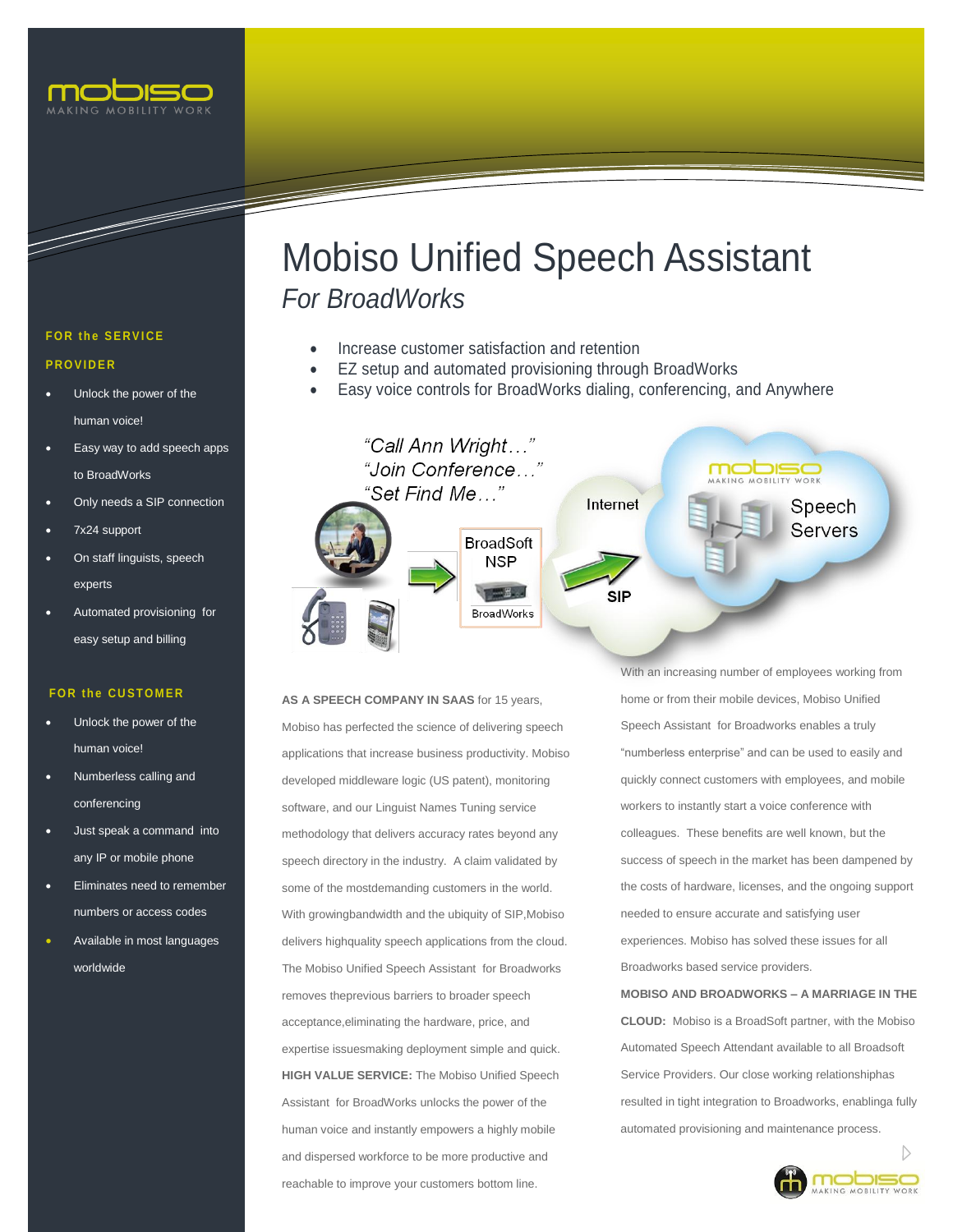

# Mobiso Unified Speech Assistant *For BroadWorks*

- Increase customer satisfaction and retention
- EZ setup and automated provisioning through BroadWorks
- Easy voice controls for BroadWorks dialing, conferencing, and Anywhere



# **AS A SPEECH COMPANY IN SAAS** for 15 years, Mobiso has perfected the science of delivering speech applications that increase business productivity. Mobiso developed middleware logic (US patent), monitoring software, and our Linguist Names Tuning service methodology that delivers accuracy rates beyond any speech directory in the industry. A claim validated by some of the mostdemanding customers in the world. With growingbandwidth and the ubiquity of SIP,Mobiso delivers highquality speech applications from the cloud. The Mobiso Unified Speech Assistant for Broadworks removes theprevious barriers to broader speech acceptance,eliminating the hardware, price, and expertise issuesmaking deployment simple and quick. **HIGH VALUE SERVICE:** The Mobiso Unified Speech Assistant for BroadWorks unlocks the power of the human voice and instantly empowers a highly mobile and dispersed workforce to be more productive and reachable to improve your customers bottom line.

With an increasing number of employees working from home or from their mobile devices, Mobiso Unified Speech Assistant for Broadworks enables a truly "numberless enterprise" and can be used to easily and quickly connect customers with employees, and mobile workers to instantly start a voice conference with colleagues. These benefits are well known, but the success of speech in the market has been dampened by the costs of hardware, licenses, and the ongoing support needed to ensure accurate and satisfying user experiences. Mobiso has solved these issues for all Broadworks based service providers.

 **CLOUD:** Mobiso is a BroadSoft partner, with the Mobiso **MOBISO AND BROADWORKS – A MARRIAGE IN THE** Automated Speech Attendant available to all Broadsoft Service Providers. Our close working relationshiphas resulted in tight integration to Broadworks, enablinga fully automated provisioning and maintenance process.



## **FOR the SERVICE**

### **P R O V I D E R**

- Unlock the power of the human voice!
- Easy way to add speech apps to BroadWorks
- Only needs a SIP connection
- 7x24 support
- On staff linguists, speech experts
- Automated provisioning for easy setup and billing

# **FOR the CUSTOMER**

- Unlock the power of the human voice!
- Numberless calling and conferencing
- Just speak a command into any IP or mobile phone
- Eliminates need to remember numbers or access codes
- Available in most languages worldwide